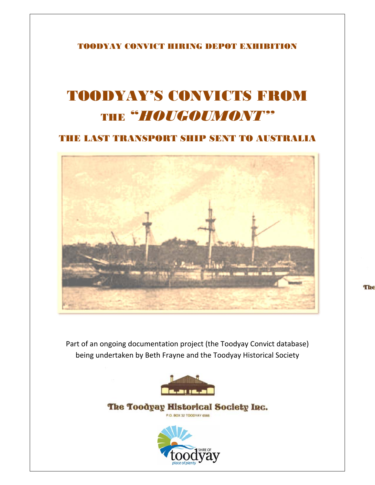TOODYAY CONVICT HIRING DEPOT EXHIBITION

## TOODYAY'S CONVICTS FROM THE "*HOUGOUMONT*"

THE LAST TRANSPORT SHIP SENT TO AUSTRALIA



Part of an ongoing documentation project (the Toodyay Convict database) being undertaken by Beth Frayne and the Toodyay Historical Society



The Toodyay Historical Society Inc. P.O. BOX 32 TOODYAY 6566



The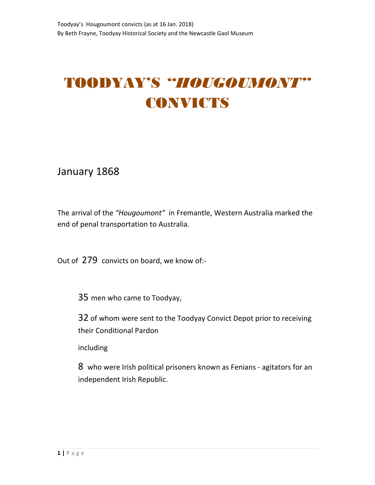## TOODYAY'S *"HOUGOUMONT"* CONVICTS

January 1868

The arrival of the *"Hougoumont"* in Fremantle, Western Australia marked the end of penal transportation to Australia.

Out of 279 convicts on board, we know of:‐

35 men who came to Toodyay,

32 of whom were sent to the Toodyay Convict Depot prior to receiving their Conditional Pardon

including

8 who were Irish political prisoners known as Fenians ‐ agitators for an independent Irish Republic.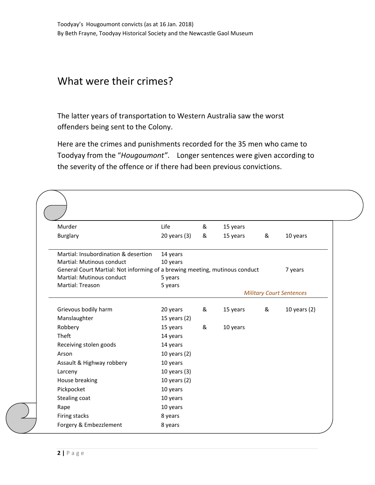## What were their crimes?

The latter years of transportation to Western Australia saw the worst offenders being sent to the Colony.

Here are the crimes and punishments recorded for the 35 men who came to Toodyay from the "*Hougoumont"*. Longer sentences were given according to the severity of the offence or if there had been previous convictions.

| Murder                                                                      | Life             | & | 15 years |   |                                 |
|-----------------------------------------------------------------------------|------------------|---|----------|---|---------------------------------|
| <b>Burglary</b>                                                             | $20$ years $(3)$ | & | 15 years | & | 10 years                        |
| Martial: Insubordination & desertion                                        | 14 years         |   |          |   |                                 |
| Martial: Mutinous conduct                                                   | 10 years         |   |          |   |                                 |
| General Court Martial: Not informing of a brewing meeting, mutinous conduct |                  |   |          |   | 7 years                         |
| Martial: Mutinous conduct                                                   | 5 years          |   |          |   |                                 |
| Martial: Treason                                                            | 5 years          |   |          |   |                                 |
|                                                                             |                  |   |          |   | <b>Military Court Sentences</b> |
| Grievous bodily harm                                                        | 20 years         | & | 15 years | & | 10 years $(2)$                  |
| Manslaughter                                                                | 15 years $(2)$   |   |          |   |                                 |
| Robbery                                                                     | 15 years         | & | 10 years |   |                                 |
| Theft                                                                       | 14 years         |   |          |   |                                 |
| Receiving stolen goods                                                      | 14 years         |   |          |   |                                 |
| Arson                                                                       | 10 years (2)     |   |          |   |                                 |
| Assault & Highway robbery                                                   | 10 years         |   |          |   |                                 |
| Larceny                                                                     | 10 years $(3)$   |   |          |   |                                 |
| House breaking                                                              | 10 years (2)     |   |          |   |                                 |
| Pickpocket                                                                  | 10 years         |   |          |   |                                 |
| Stealing coat                                                               | 10 years         |   |          |   |                                 |
| Rape                                                                        | 10 years         |   |          |   |                                 |
| Firing stacks                                                               | 8 years          |   |          |   |                                 |
| Forgery & Embezzlement                                                      | 8 years          |   |          |   |                                 |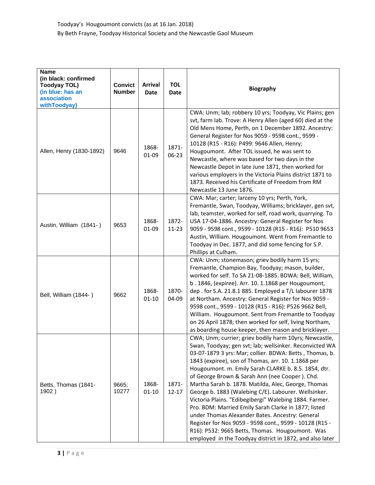| <b>Name</b><br>(in black: confirmed<br><b>Toodyay TOL)</b><br>(in blue: has an<br>association<br>withToodyay) | <b>Convict</b><br><b>Number</b> | <b>Arrival</b><br>Date | <b>TOL</b><br><b>Date</b> | <b>Biography</b>                                                                                                                                                                                                                                                                                                                                                                                                                                                                                                                                                                                                                                                                                                                                                                                           |
|---------------------------------------------------------------------------------------------------------------|---------------------------------|------------------------|---------------------------|------------------------------------------------------------------------------------------------------------------------------------------------------------------------------------------------------------------------------------------------------------------------------------------------------------------------------------------------------------------------------------------------------------------------------------------------------------------------------------------------------------------------------------------------------------------------------------------------------------------------------------------------------------------------------------------------------------------------------------------------------------------------------------------------------------|
| Allen, Henry (1830-1892)                                                                                      | 9646                            | 1868-<br>$01 - 09$     | 1871-<br>$06 - 23$        | CWA: Unm; lab; robbery 10 yrs; Toodyay, Vic Plains; gen<br>svt, farm lab. Trove: A Henry Allen (aged 60) died at the<br>Old Mens Home, Perth, on 1 December 1892. Ancestry:<br>General Register for Nos 9059 - 9598 cont., 9599 -<br>10128 (R15 - R16): P499: 9646 Allen, Henry;<br>Hougoumont. After TOL issued, he was sent to<br>Newcastle, where was based for two days in the<br>Newcastle Depot in late June 1871, then worked for<br>various employers in the Victoria Plains district 1871 to<br>1873. Received his Certificate of Freedom from RM<br>Newcastle 13 June 1876.                                                                                                                                                                                                                      |
| Austin, William (1841-)                                                                                       | 9653                            | 1868-<br>$01 - 09$     | 1872-<br>$11 - 23$        | CWA: Mar; carter; larceny 10 yrs; Perth, York,<br>Fremantle, Swan, Toodyay, Williams; bricklayer, gen svt,<br>lab, teamster, worked for self, road work, quarrying. To<br>USA 17-04-1886. Ancestry: General Register for Nos<br>9059 - 9598 cont., 9599 - 10128 (R15 - R16): P510 9653<br>Austin, William. Hougoumont. Went from Fremantle to<br>Toodyay in Dec. 1877, and did some fencing for S.P.<br>Phillips at Culham.                                                                                                                                                                                                                                                                                                                                                                                |
| Bell, William (1844-)                                                                                         | 9662                            | 1868-<br>$01 - 10$     | 1870-<br>04-09            | CWA: Unm; stonemason; griev bodily harm 15 yrs;<br>Fremantle, Champion Bay, Toodyay; mason, builder,<br>worked for self. To SA 21-08-1885. BDWA: Bell, William,<br>b. 1846, (expiree). Arr. 10. 1.1868 per Hougoumont,<br>dep. for S.A. 21.8.1 885. Employed a T/L labourer 1878<br>at Northam. Ancestry: General Register for Nos 9059 -<br>9598 cont., 9599 - 10128 (R15 - R16): P526 9662 Bell,<br>William. Hougoumont. Sent from Fremantle to Toodyay<br>on 26 April 1878; then worked for self, living Northam,<br>as boarding house keeper, then mason and bricklayer.                                                                                                                                                                                                                               |
| Betts, Thomas (1841-<br>1902)                                                                                 | 9665;<br>10277                  | 1868-<br>$01 - 10$     | 1871-<br>$12 - 17$        | CWA; Unm; currier; griev bodily harm 10yrs; Newcastle,<br>Swan, Toodyay; gen svt; lab; wellsinker. Reconvicted WA<br>03-07-1879 3 yrs: Mar; collier. BDWA: Betts, Thomas, b.<br>1843 (expiree), son of Thomas, arr. 10. 1.1868 per<br>Hougoumont. m. Emily Sarah CLARKE b. 8.5. 1854, dtr.<br>of George Brown & Sarah Ann (nee Cooper). Chd.<br>Martha Sarah b. 1878. Matilda, Alec, George, Thomas<br>George b. 1883 (Walebing C/E). Labourer. Wellsinker.<br>Victoria Plains. "Edibegibergi" Walebing 1884. Farmer.<br>Pro. BDM: Married Emily Sarah Clarke in 1877; listed<br>under Thomas Alexander Bates. Ancestry: General<br>Register for Nos 9059 - 9598 cont., 9599 - 10128 (R15 -<br>R16): P532: 9665 Betts, Thomas. Hougoumont. Was<br>employed in the Toodyay district in 1872, and also later |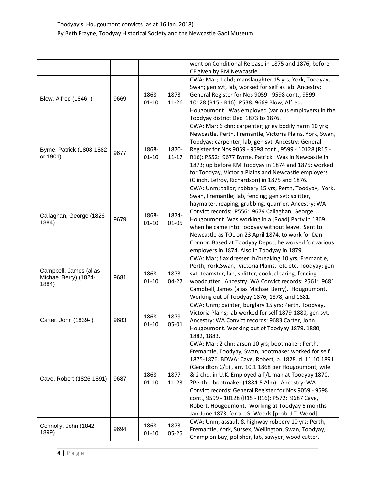|                                                          |      |                    |                    | went on Conditional Release in 1875 and 1876, before<br>CF given by RM Newcastle.                                                                                                                                                                                                                                                                                                                                                                                                                                                                      |
|----------------------------------------------------------|------|--------------------|--------------------|--------------------------------------------------------------------------------------------------------------------------------------------------------------------------------------------------------------------------------------------------------------------------------------------------------------------------------------------------------------------------------------------------------------------------------------------------------------------------------------------------------------------------------------------------------|
| Blow, Alfred (1846-)                                     | 9669 | 1868-<br>$01 - 10$ | 1873-<br>$11 - 26$ | CWA: Mar; 1 chd; manslaughter 15 yrs; York, Toodyay,<br>Swan; gen svt, lab, worked for self as lab. Ancestry:<br>General Register for Nos 9059 - 9598 cont., 9599 -<br>10128 (R15 - R16): P538: 9669 Blow, Alfred.<br>Hougoumont. Was employed (various employers) in the<br>Toodyay district Dec. 1873 to 1876.                                                                                                                                                                                                                                       |
| Byrne, Patrick (1808-1882<br>or 1901)                    | 9677 | 1868-<br>$01 - 10$ | 1870-<br>$11 - 17$ | CWA: Mar; 6 chn; carpenter; griev bodily harm 10 yrs;<br>Newcastle, Perth, Fremantle, Victoria Plains, York, Swan,<br>Toodyay; carpenter, lab, gen svt. Ancestry: General<br>Register for Nos 9059 - 9598 cont., 9599 - 10128 (R15 -<br>R16): P552: 9677 Byrne, Patrick: Was in Newcastle in<br>1873; up before RM Toodyay in 1874 and 1875; worked<br>for Toodyay, Victoria Plains and Newcastle employers<br>(Clinch, Lefroy, Richardson) in 1875 and 1876.                                                                                          |
| Callaghan, George (1826-<br>1884)                        | 9679 | 1868-<br>$01 - 10$ | 1874-<br>$01 - 05$ | CWA: Unm; tailor; robbery 15 yrs; Perth, Toodyay, York,<br>Swan, Fremantle; lab, fencing; gen svt; splitter,<br>haymaker, reaping, grubbing, quarrier. Ancestry: WA<br>Convict records: P556: 9679 Callaghan, George.<br>Hougoumont. Was working in a [Road] Party in 1869<br>when he came into Toodyay without leave. Sent to<br>Newcastle as TOL on 23 April 1874, to work for Dan<br>Connor. Based at Toodyay Depot, he worked for various<br>employers in 1874. Also in Toodyay in 1879.                                                           |
| Campbell, James (alias<br>Michael Berry) (1824-<br>1884) | 9681 | 1868-<br>$01 - 10$ | 1873-<br>$04 - 27$ | CWA: Mar; flax dresser; h/breaking 10 yrs; Fremantle,<br>Perth, York, Swan, Victoria Plains, etc etc, Toodyay; gen<br>svt; teamster, lab, splitter, cook, clearing, fencing,<br>woodcutter. Ancestry: WA Convict records: P561: 9681<br>Campbell, James (alias Michael Berry). Hougoumont.<br>Working out of Toodyay 1876, 1878, and 1881.                                                                                                                                                                                                             |
| Carter, John (1839-)                                     | 9683 | 1868-<br>$01 - 10$ | 1879-<br>$05 - 01$ | CWA: Unm; painter; burglary 15 yrs; Perth, Toodyay,<br>Victoria Plains; lab worked for self 1879-1880, gen svt.<br>Ancestry: WA Convict records: 9683 Carter, John.<br>Hougoumont. Working out of Toodyay 1879, 1880,<br>1882, 1883.                                                                                                                                                                                                                                                                                                                   |
| Cave, Robert (1826-1891)                                 | 9687 | 1868-<br>$01 - 10$ | 1877-<br>$11 - 23$ | CWA: Mar; 2 chn; arson 10 yrs; bootmaker; Perth,<br>Fremantle, Toodyay, Swan, bootmaker worked for self<br>1875-1876. BDWA: Cave, Robert, b. 1828, d. 11.10.1891<br>(Geraldton C/E), arr. 10.1.1868 per Hougoumont, wife<br>& 2 chd. in U.K. Employed a T/L man at Toodyay 1870.<br>?Perth. bootmaker (1884-5 Alm). Ancestry: WA<br>Convict records: General Register for Nos 9059 - 9598<br>cont., 9599 - 10128 (R15 - R16): P572: 9687 Cave,<br>Robert. Hougoumont. Working at Toodyay 6 months<br>Jan-June 1873, for a J.G. Woods [prob J.T. Wood]. |
| Connolly, John (1842-<br>1899)                           | 9694 | 1868-<br>$01 - 10$ | 1873-<br>$05 - 25$ | CWA: Unm; assault & highway robbery 10 yrs; Perth,<br>Fremantle, York, Sussex, Wellington, Swan, Toodyay,<br>Champion Bay; polisher, lab, sawyer, wood cutter,                                                                                                                                                                                                                                                                                                                                                                                         |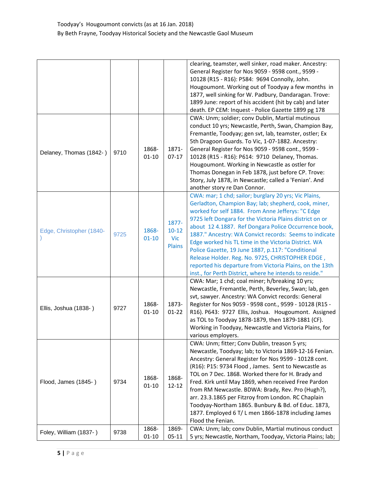|                          |      |                    |                                                   | clearing, teamster, well sinker, road maker. Ancestry:<br>General Register for Nos 9059 - 9598 cont., 9599 -<br>10128 (R15 - R16): P584: 9694 Connolly, John.<br>Hougoumont. Working out of Toodyay a few months in<br>1877, well sinking for W. Padbury, Dandaragan. Trove:<br>1899 June: report of his accident (hit by cab) and later<br>death. EP CEM: Inquest - Police Gazette 1899 pg 178                                                                                                                                                                                                                                          |
|--------------------------|------|--------------------|---------------------------------------------------|------------------------------------------------------------------------------------------------------------------------------------------------------------------------------------------------------------------------------------------------------------------------------------------------------------------------------------------------------------------------------------------------------------------------------------------------------------------------------------------------------------------------------------------------------------------------------------------------------------------------------------------|
| Delaney, Thomas (1842-)  | 9710 | 1868-<br>$01 - 10$ | 1871-<br>$07 - 17$                                | CWA: Unm; soldier; conv Dublin, Martial mutinous<br>conduct 10 yrs; Newcastle, Perth, Swan, Champion Bay,<br>Fremantle, Toodyay; gen svt, lab, teamster, ostler; Ex<br>5th Dragoon Guards. To Vic, 1-07-1882. Ancestry:<br>General Register for Nos 9059 - 9598 cont., 9599 -<br>10128 (R15 - R16): P614: 9710 Delaney, Thomas.<br>Hougoumont. Working in Newcastle as ostler for<br>Thomas Donegan in Feb 1878, just before CP. Trove:<br>Story, July 1878, in Newcastle; called a 'Fenian'. And<br>another story re Dan Connor.                                                                                                        |
| Edge, Christopher (1840- | 9725 | 1868-<br>$01 - 10$ | 1877-<br>$10 - 12$<br><b>Vic</b><br><b>Plains</b> | CWA: mar; 1 chd; sailor; burglary 20 yrs; Vic Plains,<br>Gerladton, Champion Bay; lab; shepherd, cook, miner,<br>worked for self 1884. From Anne Jefferys: "C Edge<br>9725 left Dongara for the Victoria Plains district on or<br>about 12 4.1887. Ref Dongara Police Occurrence book,<br>1887." Ancestry: WA Convict records: Seems to indicate<br>Edge worked his TL time in the Victoria District. WA<br>Police Gazette, 19 June 1887, p.117: "Conditional<br>Release Holder. Reg. No. 9725, CHRISTOPHER EDGE,<br>reported his departure from Victoria Plains, on the 13th<br>inst., for Perth District, where he intends to reside." |
| Ellis, Joshua (1838-)    | 9727 | 1868-<br>$01 - 10$ | 1873-<br>$01 - 22$                                | CWA: Mar; 1 chd; coal miner; h/breaking 10 yrs;<br>Newcastle, Fremantle, Perth, Beverley, Swan; lab, gen<br>svt, sawyer. Ancestry: WA Convict records: General<br>Register for Nos 9059 - 9598 cont., 9599 - 10128 (R15 -<br>R16). P643: 9727 Ellis, Joshua. Hougoumont. Assigned<br>as TOL to Toodyay 1878-1879, then 1879-1881 (CF).<br>Working in Toodyay, Newcastle and Victoria Plains, for<br>various employers.                                                                                                                                                                                                                   |
| Flood, James (1845-)     | 9734 | 1868-<br>$01 - 10$ | 1868-<br>$12 - 12$                                | CWA: Unm; fitter; Conv Dublin, treason 5 yrs;<br>Newcastle, Toodyay; lab; to Victoria 1869-12-16 Fenian.<br>Ancestry: General Register for Nos 9599 - 10128 cont.<br>(R16): P15: 9734 Flood, James. Sent to Newcastle as<br>TOL on 7 Dec. 1868. Worked there for H. Brady and<br>Fred. Kirk until May 1869, when received Free Pardon<br>from RM Newcastle. BDWA: Brady, Rev. Pro (Hugh?),<br>arr. 23.3.1865 per Fitzroy from London. RC Chaplain<br>Toodyay-Northam 1865. Bunbury & Bd. of Educ. 1873,<br>1877. Employed 6 T/ L men 1866-1878 including James<br>Flood the Fenian.                                                      |
| Foley, William (1837-)   | 9738 | 1868-<br>$01 - 10$ | 1869-<br>$05 - 11$                                | CWA: Unm; lab; conv Dublin, Martial mutinous conduct<br>5 yrs; Newcastle, Northam, Toodyay, Victoria Plains; lab;                                                                                                                                                                                                                                                                                                                                                                                                                                                                                                                        |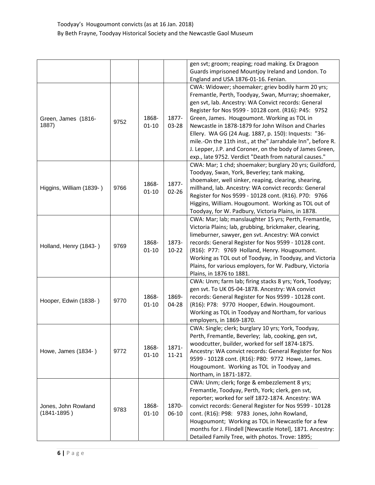|                                        |      |                    |                    | gen svt; groom; reaping; road making. Ex Dragoon<br>Guards imprisoned Mountjoy Ireland and London. To<br>England and USA 1876-01-16. Fenian.                                                                                                                                                                                                                                                                                                                                                                                                                              |
|----------------------------------------|------|--------------------|--------------------|---------------------------------------------------------------------------------------------------------------------------------------------------------------------------------------------------------------------------------------------------------------------------------------------------------------------------------------------------------------------------------------------------------------------------------------------------------------------------------------------------------------------------------------------------------------------------|
| Green, James (1816-<br>1887)           | 9752 | 1868-<br>$01 - 10$ | 1877-<br>$03 - 28$ | CWA: Widower; shoemaker; griev bodily harm 20 yrs;<br>Fremantle, Perth, Toodyay, Swan, Murray; shoemaker,<br>gen svt, lab. Ancestry: WA Convict records: General<br>Register for Nos 9599 - 10128 cont. (R16): P45: 9752<br>Green, James. Hougoumont. Working as TOL in<br>Newcastle in 1878-1879 for John Wilson and Charles<br>Ellery. WA GG (24 Aug. 1887, p. 150): Inquests: "36-<br>mile.-On the 11th inst., at the" Jarrahdale Inn", before R.<br>J. Lepper, J.P. and Coroner, on the body of James Green,<br>exp., late 9752. Verdict "Death from natural causes." |
| Higgins, William (1839-)               | 9766 | 1868-<br>$01 - 10$ | 1877-<br>$02 - 26$ | CWA: Mar; 1 chd; shoemaker; burglary 20 yrs; Guildford,<br>Toodyay, Swan, York, Beverley; tank making,<br>shoemaker, well sinker, reaping, clearing, shearing,<br>millhand, lab. Ancestry: WA convict records: General<br>Register for Nos 9599 - 10128 cont. (R16). P70: 9766<br>Higgins, William. Hougoumont. Working as TOL out of<br>Toodyay, for W. Padbury, Victoria Plains, in 1878.                                                                                                                                                                               |
| Holland, Henry (1843-)                 | 9769 | 1868-<br>$01 - 10$ | 1873-<br>$10 - 22$ | CWA: Mar; lab; manslaughter 15 yrs; Perth, Fremantle,<br>Victoria Plains; lab, grubbing, brickmaker, clearing,<br>limeburner, sawyer, gen svt. Ancestry: WA convict<br>records: General Register for Nos 9599 - 10128 cont.<br>(R16): P77: 9769 Holland, Henry. Hougoumont.<br>Working as TOL out of Toodyay, in Toodyay, and Victoria<br>Plains, for various employers, for W. Padbury, Victoria<br>Plains, in 1876 to 1881.                                                                                                                                             |
| Hooper, Edwin (1838-)                  | 9770 | 1868-<br>$01 - 10$ | 1869-<br>04-28     | CWA: Unm; farm lab; firing stacks 8 yrs; York, Toodyay;<br>gen svt. To UK 05-04-1878. Ancestry: WA convict<br>records: General Register for Nos 9599 - 10128 cont.<br>(R16): P78: 9770 Hooper, Edwin. Hougoumont.<br>Working as TOL in Toodyay and Northam, for various<br>employers, in 1869-1870.                                                                                                                                                                                                                                                                       |
| Howe, James (1834-)                    | 9772 | 1868-<br>$01 - 10$ | 1871-<br>$11 - 21$ | CWA: Single; clerk; burglary 10 yrs; York, Toodyay,<br>Perth, Fremantle, Beverley; lab, cooking, gen svt,<br>woodcutter, builder, worked for self 1874-1875.<br>Ancestry: WA convict records: General Register for Nos<br>9599 - 10128 cont. (R16): P80: 9772 Howe, James.<br>Hougoumont. Working as TOL in Toodyay and<br>Northam, in 1871-1872.                                                                                                                                                                                                                         |
| Jones, John Rowland<br>$(1841 - 1895)$ | 9783 | 1868-<br>$01 - 10$ | 1870-<br>$06-10$   | CWA: Unm; clerk; forge & embezzlement 8 yrs;<br>Fremantle, Toodyay, Perth, York; clerk, gen svt,<br>reporter; worked for self 1872-1874. Ancestry: WA<br>convict records: General Register for Nos 9599 - 10128<br>cont. (R16): P98: 9783 Jones, John Rowland,<br>Hougoumont; Working as TOL in Newcastle for a few<br>months for J. Flindell [Newcastle Hotel], 1871. Ancestry:<br>Detailed Family Tree, with photos. Trove: 1895;                                                                                                                                       |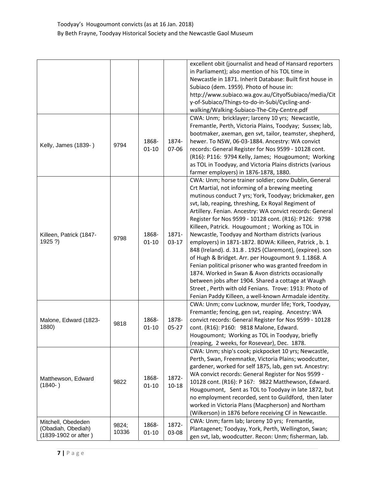|                                                                  |                |                    |                    | excellent obit (journalist and head of Hansard reporters<br>in Parliament); also mention of his TOL time in<br>Newcastle in 1871. Inherit Database: Built first house in<br>Subiaco (dem. 1959). Photo of house in:<br>http://www.subiaco.wa.gov.au/CityofSubiaco/media/Cit<br>y-of-Subiaco/Things-to-do-in-Subi/Cycling-and-<br>walking/Walking-Subiaco-The-City-Centre.pdf                                                                                                                                                                                                                                                                                                                                                                                                                                                                                                                                             |
|------------------------------------------------------------------|----------------|--------------------|--------------------|--------------------------------------------------------------------------------------------------------------------------------------------------------------------------------------------------------------------------------------------------------------------------------------------------------------------------------------------------------------------------------------------------------------------------------------------------------------------------------------------------------------------------------------------------------------------------------------------------------------------------------------------------------------------------------------------------------------------------------------------------------------------------------------------------------------------------------------------------------------------------------------------------------------------------|
| Kelly, James (1839-)                                             | 9794           | 1868-<br>$01 - 10$ | 1874-<br>$07 - 06$ | CWA: Unm; bricklayer; larceny 10 yrs; Newcastle,<br>Fremantle, Perth, Victoria Plains, Toodyay; Sussex; lab,<br>bootmaker, axeman, gen svt, tailor, teamster, shepherd,<br>hewer. To NSW, 06-03-1884. Ancestry: WA convict<br>records: General Register for Nos 9599 - 10128 cont.<br>(R16): P116: 9794 Kelly, James; Hougoumont; Working<br>as TOL in Toodyay, and Victoria Plains districts (various<br>farmer employers) in 1876-1878, 1880.                                                                                                                                                                                                                                                                                                                                                                                                                                                                          |
| Killeen, Patrick (1847-<br>1925 ?)                               | 9798           | 1868-<br>$01 - 10$ | 1871-<br>$03-17$   | CWA: Unm; horse trainer soldier; conv Dublin, General<br>Crt Martial, not informing of a brewing meeting<br>mutinous conduct 7 yrs; York, Toodyay; brickmaker, gen<br>svt, lab, reaping, threshing, Ex Royal Regiment of<br>Artillery. Fenian. Ancestry: WA convict records: General<br>Register for Nos 9599 - 10128 cont. (R16): P126: 9798<br>Killeen, Patrick. Hougoumont ; Working as TOL in<br>Newcastle, Toodyay and Northam districts (various<br>employers) in 1871-1872. BDWA: Killeen, Patrick, b. 1<br>848 (Ireland). d. 31.8. 1925 (Claremont), (expiree). son<br>of Hugh & Bridget. Arr. per Hougoumont 9. 1.1868. A<br>Fenian political prisoner who was granted freedom in<br>1874. Worked in Swan & Avon districts occasionally<br>between jobs after 1904. Shared a cottage at Waugh<br>Street, Perth with old Fenians. Trove: 1913: Photo of<br>Fenian Paddy Killeen, a well-known Armadale identity. |
| Malone, Edward (1823-<br>1880)                                   | 9818           | 1868-<br>$01 - 10$ | 1878-<br>$05 - 27$ | CWA: Unm; conv Lucknow, murder life; York, Toodyay,<br>Fremantle; fencing, gen svt, reaping. Ancestry: WA<br>convict records: General Register for Nos 9599 - 10128<br>cont. (R16): P160: 9818 Malone, Edward.<br>Hougoumont; Working as TOL in Toodyay, briefly<br>(reaping, 2 weeks, for Rosevear), Dec. 1878.                                                                                                                                                                                                                                                                                                                                                                                                                                                                                                                                                                                                         |
| Matthewson, Edward<br>$(1840-)$                                  | 9822           | 1868-<br>$01 - 10$ | 1872-<br>$10 - 18$ | CWA: Unm; ship's cook; pickpocket 10 yrs; Newcastle,<br>Perth, Swan, Freemnatke, Victoria Plains; woodcutter,<br>gardener, worked for self 1875, lab, gen svt. Ancestry:<br>WA convict records: General Register for Nos 9599 -<br>10128 cont. (R16): P 167: 9822 Matthewson, Edward.<br>Hougoumont, Sent as TOL to Toodyay in late 1872, but<br>no employment recorded, sent to Guildford, then later<br>worked in Victoria Plans (Macpherson) and Northam<br>(Wilkerson) in 1876 before receiving CF in Newcastle.                                                                                                                                                                                                                                                                                                                                                                                                     |
| Mitchell, Obededen<br>(Obadiah, Obediah)<br>(1839-1902 or after) | 9824;<br>10336 | 1868-<br>$01 - 10$ | 1872-<br>03-08     | CWA: Unm; farm lab; larceny 10 yrs; Fremantle,<br>Plantagenet; Toodyay, York, Perth, Wellington, Swan;<br>gen svt, lab, woodcutter. Recon: Unm; fisherman, lab.                                                                                                                                                                                                                                                                                                                                                                                                                                                                                                                                                                                                                                                                                                                                                          |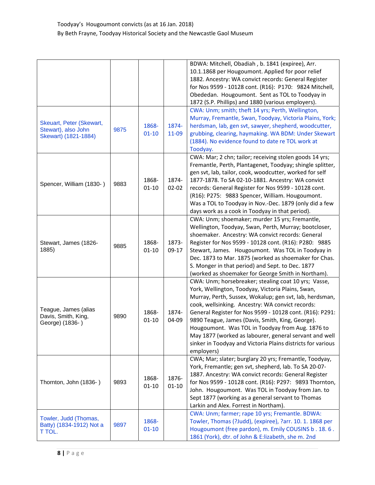|                                                                         |      |                    |                    | BDWA: Mitchell, Obadiah, b. 1841 (expiree), Arr.<br>10.1.1868 per Hougoumont. Applied for poor relief<br>1882. Ancestry: WA convict records: General Register<br>for Nos 9599 - 10128 cont. (R16): P170: 9824 Mitchell,<br>Obededan. Hougoumont. Sent as TOL to Toodyay in<br>1872 (S.P. Phillips) and 1880 (various employers).<br>CWA: Unm; smith; theft 14 yrs; Perth, Wellington,                                                                                                                                               |
|-------------------------------------------------------------------------|------|--------------------|--------------------|-------------------------------------------------------------------------------------------------------------------------------------------------------------------------------------------------------------------------------------------------------------------------------------------------------------------------------------------------------------------------------------------------------------------------------------------------------------------------------------------------------------------------------------|
| Skeuart, Peter (Skewart,<br>Stewart), also John<br>Skewart) (1821-1884) | 9875 | 1868-<br>$01 - 10$ | 1874-<br>11-09     | Murray, Fremantle, Swan, Toodyay, Victoria Plains, York;<br>herdsman, lab, gen svt, sawyer, shepherd, woodcutter,<br>grubbing, clearing, haymaking. WA BDM: Under Skewart<br>(1884). No evidence found to date re TOL work at<br>Toodyay.                                                                                                                                                                                                                                                                                           |
| Spencer, William (1830-)                                                | 9883 | 1868-<br>$01 - 10$ | 1874-<br>$02 - 02$ | CWA: Mar; 2 chn; tailor; receiving stolen goods 14 yrs;<br>Fremantle, Perth, Plantagenet, Toodyay; shingle splitter,<br>gen svt, lab, tailor, cook, woodcutter, worked for self<br>1877-1878. To SA 02-10-1881. Ancestry: WA convict<br>records: General Register for Nos 9599 - 10128 cont.<br>(R16): P275: 9883 Spencer, William. Hougoumont.<br>Was a TOL to Toodyay in Nov.-Dec. 1879 (only did a few<br>days work as a cook in Toodyay in that period).                                                                        |
| Stewart, James (1826-<br>1885)                                          | 9885 | 1868-<br>$01 - 10$ | 1873-<br>$09-17$   | CWA: Unm; shoemaker; murder 15 yrs; Fremantle,<br>Wellington, Toodyay, Swan, Perth, Murray; bootcloser,<br>shoemaker. Ancestry: WA convict records: General<br>Register for Nos 9599 - 10128 cont. (R16): P280: 9885<br>Stewart, James. Hougoumont. Was TOL in Toodyay in<br>Dec. 1873 to Mar. 1875 (worked as shoemaker for Chas.<br>S. Monger in that period) and Sept. to Dec. 1877<br>(worked as shoemaker for George Smith in Northam).                                                                                        |
| Teague, James (alias<br>Davis, Smith, King,<br>George) (1836-)          | 9890 | 1868-<br>$01 - 10$ | 1874-<br>04-09     | CWA: Unm; horsebreaker; stealing coat 10 yrs; Vasse,<br>York, Wellington, Toodyay, Victoria Plains, Swan,<br>Murray, Perth, Sussex, Wokalup; gen svt, lab, herdsman,<br>cook, wellsinking. Ancestry: WA convict records:<br>General Register for Nos 9599 - 10128 cont. (R16): P291:<br>9890 Teague, James (Davis, Smith, King, George).<br>Hougoumont. Was TOL in Toodyay from Aug. 1876 to<br>May 1877 (worked as labourer, general servant and well<br>sinker in Toodyay and Victoria Plains districts for various<br>employers) |
| Thornton, John (1836-)                                                  | 9893 | 1868-<br>$01 - 10$ | 1876-<br>$01 - 10$ | CWA; Mar; slater; burglary 20 yrs; Fremantle, Toodyay,<br>York, Fremantle; gen svt, shepherd, lab. To SA 20-07-<br>1887. Ancestry: WA convict records: General Register<br>for Nos 9599 - 10128 cont. (R16): P297: 9893 Thornton,<br>John. Hougoumont. Was TOL in Toodyay from Jan. to<br>Sept 1877 (working as a general servant to Thomas<br>Larkin and Alex. Forrest in Northam).                                                                                                                                                |
| Towler, Judd (Thomas,<br>Batty) (1834-1912) Not a<br>t tol.             | 9897 | 1868-<br>$01 - 10$ |                    | CWA: Unm; farmer; rape 10 yrs; Fremantle. BDWA:<br>Towler, Thomas (?Judd), (expiree), ?arr. 10. 1. 1868 per<br>Hougoumont (free pardon), m. Emily COUSINS b . 18.6.<br>1861 (York), dtr. of John & E:lizabeth, she m. 2nd                                                                                                                                                                                                                                                                                                           |